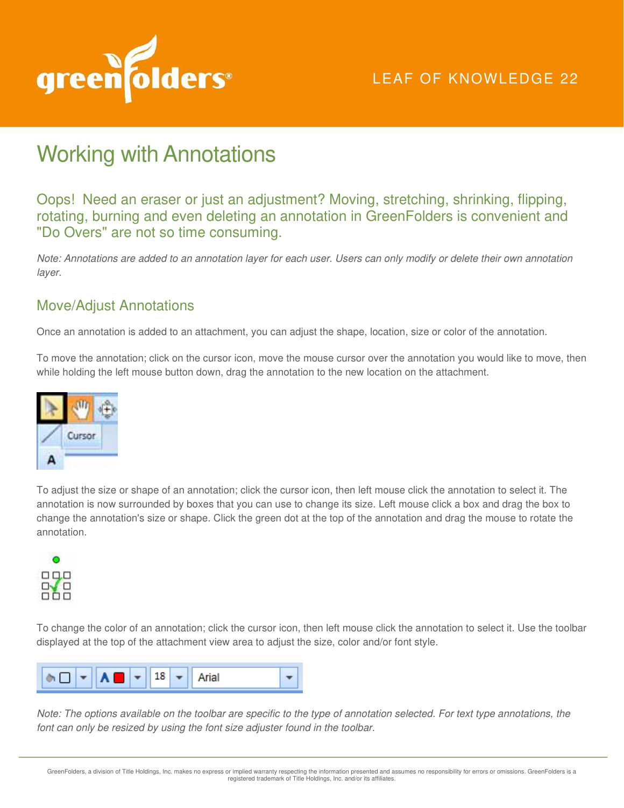

# LEAF OF KNOWLEDGE 22

# Working with Annotations

Oops! Need an eraser or just an adjustment? Moving, stretching, shrinking, flipping, rotating, burning and even deleting an annotation in GreenFolders is convenient and "Do Overs" are not so time consuming.

*Note: Annotations are added to an annotation layer for each user. Users can only modify or delete their own annotation layer.* 

#### Move/Adjust Annotations

Once an annotation is added to an attachment, you can adjust the shape, location, size or color of the annotation.

To move the annotation; click on the cursor icon, move the mouse cursor over the annotation you would like to move, then while holding the left mouse button down, drag the annotation to the new location on the attachment.



To adjust the size or shape of an annotation; click the cursor icon, then left mouse click the annotation to select it. The annotation is now surrounded by boxes that you can use to change its size. Left mouse click a box and drag the box to change the annotation's size or shape. Click the green dot at the top of the annotation and drag the mouse to rotate the annotation.



To change the color of an annotation; click the cursor icon, then left mouse click the annotation to select it. Use the toolbar displayed at the top of the attachment view area to adjust the size, color and/or font style.



*Note: The options available on the toolbar are specific to the type of annotation selected. For text type annotations, the font can only be resized by using the font size adjuster found in the toolbar.*